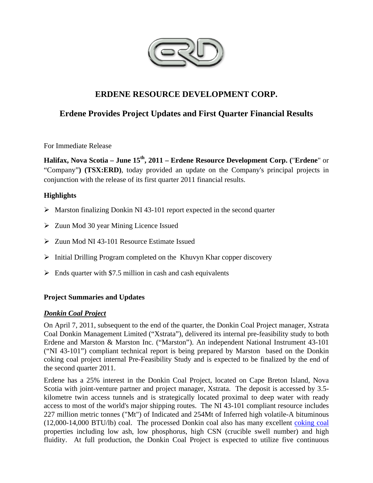

# **ERDENE RESOURCE DEVELOPMENT CORP.**

# **Erdene Provides Project Updates and First Quarter Financial Results**

For Immediate Release

**Halifax, Nova Scotia – June 15th, 2011 – Erdene Resource Development Corp. (**"**Erdene**" or "Company"**) (TSX:ERD)**, today provided an update on the Company's principal projects in conjunction with the release of its first quarter 2011 financial results.

# **Highlights**

- $\triangleright$  Marston finalizing Donkin NI 43-101 report expected in the second quarter
- $\geq$  Zuun Mod 30 year Mining Licence Issued
- Zuun Mod NI 43-101 Resource Estimate Issued
- $\triangleright$  Initial Drilling Program completed on the Khuvyn Khar copper discovery
- $\triangleright$  Ends quarter with \$7.5 million in cash and cash equivalents

# **Project Summaries and Updates**

# *Donkin Coal Project*

On April 7, 2011, subsequent to the end of the quarter, the Donkin Coal Project manager, Xstrata Coal Donkin Management Limited ("Xstrata"), delivered its internal pre-feasibility study to both Erdene and Marston & Marston Inc. ("Marston"). An independent National Instrument 43-101 ("NI 43-101") compliant technical report is being prepared by Marston based on the Donkin coking coal project internal Pre-Feasibility Study and is expected to be finalized by the end of the second quarter 2011.

Erdene has a 25% interest in the Donkin Coal Project, located on Cape Breton Island, Nova Scotia with joint-venture partner and project manager, Xstrata. The deposit is accessed by 3.5 kilometre twin access tunnels and is strategically located proximal to deep water with ready access to most of the world's major shipping routes. The NI 43-101 compliant resource includes 227 million metric tonnes ("Mt") of Indicated and 254Mt of Inferred high volatile-A bituminous (12,000-14,000 BTU/lb) coal. The processed Donkin coal also has many excellent coking coal properties including low ash, low phosphorus, high CSN (crucible swell number) and high fluidity. At full production, the Donkin Coal Project is expected to utilize five continuous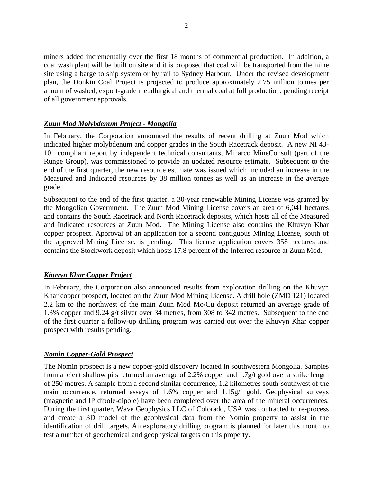miners added incrementally over the first 18 months of commercial production. In addition, a coal wash plant will be built on site and it is proposed that coal will be transported from the mine site using a barge to ship system or by rail to Sydney Harbour. Under the revised development plan, the Donkin Coal Project is projected to produce approximately 2.75 million tonnes per annum of washed, export-grade metallurgical and thermal coal at full production, pending receipt of all government approvals.

# *Zuun Mod Molybdenum Project - Mongolia*

In February, the Corporation announced the results of recent drilling at Zuun Mod which indicated higher molybdenum and copper grades in the South Racetrack deposit. A new NI 43- 101 compliant report by independent technical consultants, Minarco MineConsult (part of the Runge Group), was commissioned to provide an updated resource estimate. Subsequent to the end of the first quarter, the new resource estimate was issued which included an increase in the Measured and Indicated resources by 38 million tonnes as well as an increase in the average grade.

Subsequent to the end of the first quarter, a 30-year renewable Mining License was granted by the Mongolian Government. The Zuun Mod Mining License covers an area of 6,041 hectares and contains the South Racetrack and North Racetrack deposits, which hosts all of the Measured and Indicated resources at Zuun Mod. The Mining License also contains the Khuvyn Khar copper prospect. Approval of an application for a second contiguous Mining License, south of the approved Mining License, is pending. This license application covers 358 hectares and contains the Stockwork deposit which hosts 17.8 percent of the Inferred resource at Zuun Mod.

# *Khuvyn Khar Copper Project*

In February, the Corporation also announced results from exploration drilling on the Khuvyn Khar copper prospect, located on the Zuun Mod Mining License. A drill hole (ZMD 121) located 2.2 km to the northwest of the main Zuun Mod Mo/Cu deposit returned an average grade of 1.3% copper and 9.24 g/t silver over 34 metres, from 308 to 342 metres. Subsequent to the end of the first quarter a follow-up drilling program was carried out over the Khuvyn Khar copper prospect with results pending.

# *Nomin Copper-Gold Prospect*

The Nomin prospect is a new copper-gold discovery located in southwestern Mongolia. Samples from ancient shallow pits returned an average of 2.2% copper and 1.7g/t gold over a strike length of 250 metres. A sample from a second similar occurrence, 1.2 kilometres south-southwest of the main occurrence, returned assays of 1.6% copper and 1.15g/t gold. Geophysical surveys (magnetic and IP dipole-dipole) have been completed over the area of the mineral occurrences. During the first quarter, Wave Geophysics LLC of Colorado, USA was contracted to re-process and create a 3D model of the geophysical data from the Nomin property to assist in the identification of drill targets. An exploratory drilling program is planned for later this month to test a number of geochemical and geophysical targets on this property.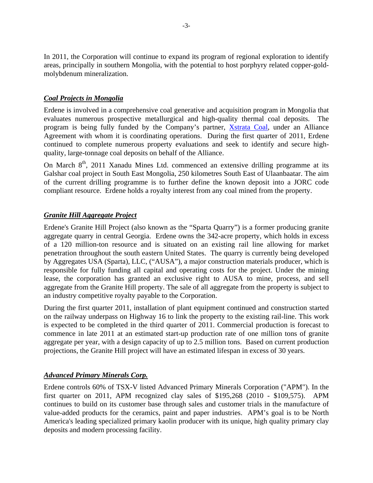In 2011, the Corporation will continue to expand its program of regional exploration to identify areas, principally in southern Mongolia, with the potential to host porphyry related copper-goldmolybdenum mineralization.

# *Coal Projects in Mongolia*

Erdene is involved in a comprehensive coal generative and acquisition program in Mongolia that evaluates numerous prospective metallurgical and high-quality thermal coal deposits. The program is being fully funded by the Company's partner, Xstrata Coal, under an Alliance Agreement with whom it is coordinating operations. During the first quarter of 2011, Erdene continued to complete numerous property evaluations and seek to identify and secure highquality, large-tonnage coal deposits on behalf of the Alliance.

On March  $8<sup>th</sup>$ , 2011 Xanadu Mines Ltd. commenced an extensive drilling programme at its Galshar coal project in South East Mongolia, 250 kilometres South East of Ulaanbaatar. The aim of the current drilling programme is to further define the known deposit into a JORC code compliant resource. Erdene holds a royalty interest from any coal mined from the property.

# *Granite Hill Aggregate Project*

Erdene's Granite Hill Project (also known as the "Sparta Quarry") is a former producing granite aggregate quarry in central Georgia. Erdene owns the 342-acre property, which holds in excess of a 120 million-ton resource and is situated on an existing rail line allowing for market penetration throughout the south eastern United States. The quarry is currently being developed by Aggregates USA (Sparta), LLC, ("AUSA"), a major construction materials producer, which is responsible for fully funding all capital and operating costs for the project. Under the mining lease, the corporation has granted an exclusive right to AUSA to mine, process, and sell aggregate from the Granite Hill property. The sale of all aggregate from the property is subject to an industry competitive royalty payable to the Corporation.

During the first quarter 2011, installation of plant equipment continued and construction started on the railway underpass on Highway 16 to link the property to the existing rail-line. This work is expected to be completed in the third quarter of 2011. Commercial production is forecast to commence in late 2011 at an estimated start-up production rate of one million tons of granite aggregate per year, with a design capacity of up to 2.5 million tons. Based on current production projections, the Granite Hill project will have an estimated lifespan in excess of 30 years.

# *Advanced Primary Minerals Corp.*

Erdene controls 60% of TSX-V listed Advanced Primary Minerals Corporation ("APM"). In the first quarter on 2011, APM recognized clay sales of \$195,268 (2010 - \$109,575). APM continues to build on its customer base through sales and customer trials in the manufacture of value-added products for the ceramics, paint and paper industries. APM's goal is to be North America's leading specialized primary kaolin producer with its unique, high quality primary clay deposits and modern processing facility.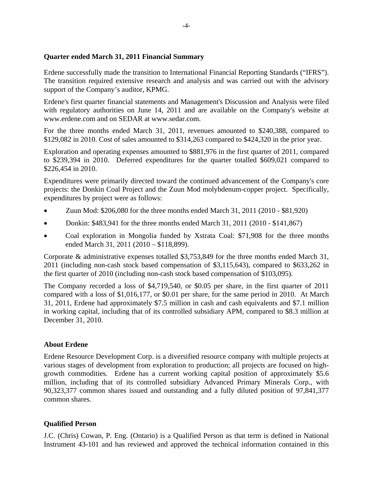### **Quarter ended March 31, 2011 Financial Summary**

Erdene successfully made the transition to International Financial Reporting Standards ("IFRS"). The transition required extensive research and analysis and was carried out with the advisory support of the Company's auditor, KPMG.

Erdene's first quarter financial statements and Management's Discussion and Analysis were filed with regulatory authorities on June 14, 2011 and are available on the Company's website at www.erdene.com and on SEDAR at www.sedar.com.

For the three months ended March 31, 2011, revenues amounted to \$240,388, compared to \$129,082 in 2010. Cost of sales amounted to \$314,263 compared to \$424,320 in the prior year.

Exploration and operating expenses amounted to \$881,976 in the first quarter of 2011, compared to \$239,394 in 2010. Deferred expenditures for the quarter totalled \$609,021 compared to \$226,454 in 2010.

Expenditures were primarily directed toward the continued advancement of the Company's core projects: the Donkin Coal Project and the Zuun Mod molybdenum-copper project. Specifically, expenditures by project were as follows:

- Zuun Mod: \$206,080 for the three months ended March 31, 2011 (2010 \$81,920)
- Donkin:  $$483,941$  for the three months ended March 31, 2011 (2010 \$141,867)
- Coal exploration in Mongolia funded by Xstrata Coal: \$71,908 for the three months ended March 31, 2011 (2010 – \$118,899).

Corporate & administrative expenses totalled \$3,753,849 for the three months ended March 31, 2011 (including non-cash stock based compensation of \$3,115,643), compared to \$633,262 in the first quarter of 2010 (including non-cash stock based compensation of \$103,095).

The Company recorded a loss of \$4,719,540, or \$0.05 per share, in the first quarter of 2011 compared with a loss of \$1,016,177, or \$0.01 per share, for the same period in 2010. At March 31, 2011, Erdene had approximately \$7.5 million in cash and cash equivalents and \$7.1 million in working capital, including that of its controlled subsidiary APM, compared to \$8.3 million at December 31, 2010.

# **About Erdene**

Erdene Resource Development Corp. is a diversified resource company with multiple projects at various stages of development from exploration to production; all projects are focused on highgrowth commodities. Erdene has a current working capital position of approximately \$5.6 million, including that of its controlled subsidiary Advanced Primary Minerals Corp., with 90,323,377 common shares issued and outstanding and a fully diluted position of 97,841,377 common shares.

# **Qualified Person**

J.C. (Chris) Cowan, P. Eng. (Ontario) is a Qualified Person as that term is defined in National Instrument 43-101 and has reviewed and approved the technical information contained in this